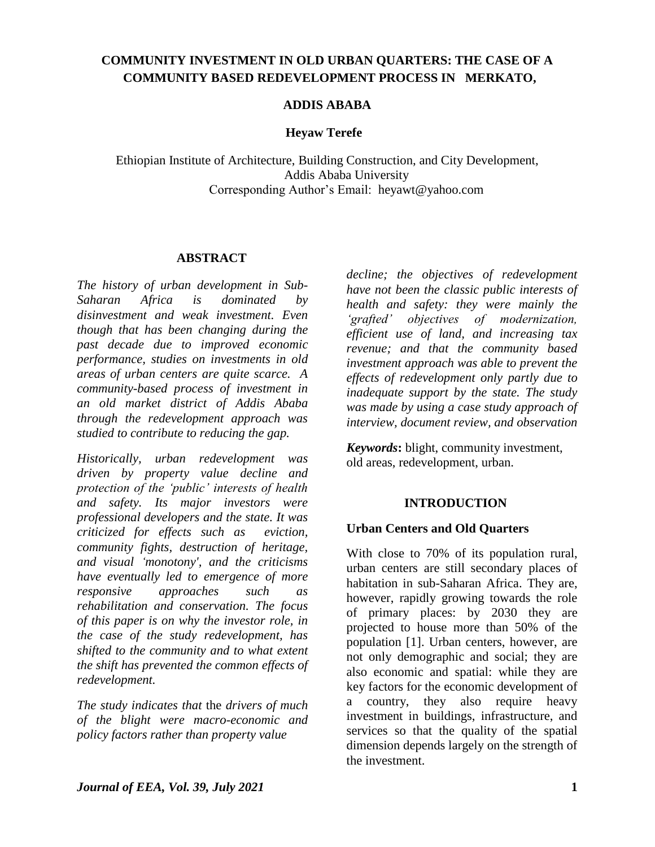## **COMMUNITY INVESTMENT IN OLD URBAN QUARTERS: THE CASE OF A COMMUNITY BASED REDEVELOPMENT PROCESS IN MERKATO,**

## **ADDIS ABABA**

#### **Heyaw Terefe**

Ethiopian Institute of Architecture, Building Construction, and City Development, Addis Ababa University Corresponding Author"s Email: heyawt@yahoo.com

#### **ABSTRACT**

*The history of urban development in Sub-Saharan Africa is dominated by disinvestment and weak investment. Even though that has been changing during the past decade due to improved economic performance, studies on investments in old areas of urban centers are quite scarce. A community-based process of investment in an old market district of Addis Ababa through the redevelopment approach was studied to contribute to reducing the gap.* 

*Historically, urban redevelopment was driven by property value decline and protection of the 'public' interests of health and safety. Its major investors were professional developers and the state. It was criticized for effects such as eviction, community fights, destruction of heritage, and visual 'monotony', and the criticisms have eventually led to emergence of more responsive approaches such as rehabilitation and conservation. The focus of this paper is on why the investor role, in the case of the study redevelopment, has shifted to the community and to what extent the shift has prevented the common effects of redevelopment.*

*The study indicates that* the *drivers of much of the blight were macro-economic and policy factors rather than property value* 

*decline; the objectives of redevelopment have not been the classic public interests of health and safety: they were mainly the 'grafted' objectives of modernization, efficient use of land, and increasing tax revenue; and that the community based investment approach was able to prevent the effects of redevelopment only partly due to inadequate support by the state. The study was made by using a case study approach of interview, document review, and observation*

*Keywords***:** blight, community investment, old areas, redevelopment, urban.

## **INTRODUCTION**

#### **Urban Centers and Old Quarters**

With close to 70% of its population rural, urban centers are still secondary places of habitation in sub-Saharan Africa. They are, however, rapidly growing towards the role of primary places: by 2030 they are projected to house more than 50% of the population [1]. Urban centers, however, are not only demographic and social; they are also economic and spatial: while they are key factors for the economic development of a country, they also require heavy investment in buildings, infrastructure, and services so that the quality of the spatial dimension depends largely on the strength of the investment.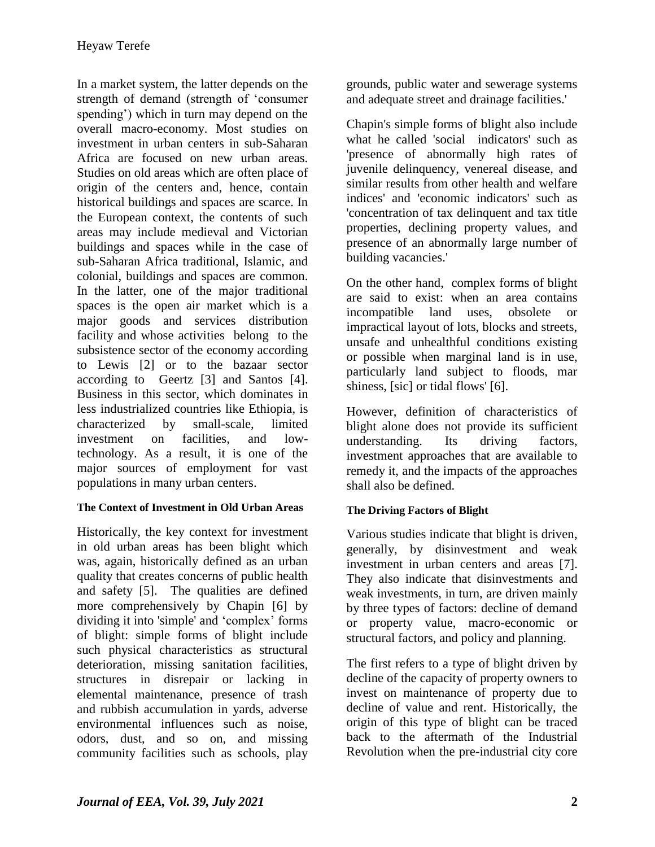In a market system, the latter depends on the strength of demand (strength of "consumer spending') which in turn may depend on the overall macro-economy. Most studies on investment in urban centers in sub-Saharan Africa are focused on new urban areas. Studies on old areas which are often place of origin of the centers and, hence, contain historical buildings and spaces are scarce. In the European context, the contents of such areas may include medieval and Victorian buildings and spaces while in the case of sub-Saharan Africa traditional, Islamic, and colonial, buildings and spaces are common. In the latter, one of the major traditional spaces is the open air market which is a major goods and services distribution facility and whose activities belong to the subsistence sector of the economy according to Lewis [2] or to the bazaar sector according to Geertz [3] and Santos [4]. Business in this sector, which dominates in less industrialized countries like Ethiopia, is characterized by small-scale, limited investment on facilities, and lowtechnology. As a result, it is one of the major sources of employment for vast populations in many urban centers.

# **The Context of Investment in Old Urban Areas**

Historically, the key context for investment in old urban areas has been blight which was, again, historically defined as an urban quality that creates concerns of public health and safety [5]. The qualities are defined more comprehensively by Chapin [6] by dividing it into 'simple' and "complex" forms of blight: simple forms of blight include such physical characteristics as structural deterioration, missing sanitation facilities, structures in disrepair or lacking in elemental maintenance, presence of trash and rubbish accumulation in yards, adverse environmental influences such as noise, odors, dust, and so on, and missing community facilities such as schools, play

grounds, public water and sewerage systems and adequate street and drainage facilities.'

Chapin's simple forms of blight also include what he called 'social indicators' such as 'presence of abnormally high rates of juvenile delinquency, venereal disease, and similar results from other health and welfare indices' and 'economic indicators' such as 'concentration of tax delinquent and tax title properties, declining property values, and presence of an abnormally large number of building vacancies.'

On the other hand, complex forms of blight are said to exist: when an area contains incompatible land uses, obsolete or impractical layout of lots, blocks and streets, unsafe and unhealthful conditions existing or possible when marginal land is in use, particularly land subject to floods, mar shiness, [sic] or tidal flows' [6].

However, definition of characteristics of blight alone does not provide its sufficient understanding. Its driving factors, investment approaches that are available to remedy it, and the impacts of the approaches shall also be defined.

# **The Driving Factors of Blight**

Various studies indicate that blight is driven, generally, by disinvestment and weak investment in urban centers and areas [7]. They also indicate that disinvestments and weak investments, in turn, are driven mainly by three types of factors: decline of demand or property value, macro-economic or structural factors, and policy and planning.

The first refers to a type of blight driven by decline of the capacity of property owners to invest on maintenance of property due to decline of value and rent. Historically, the origin of this type of blight can be traced back to the aftermath of the Industrial Revolution when the pre-industrial city core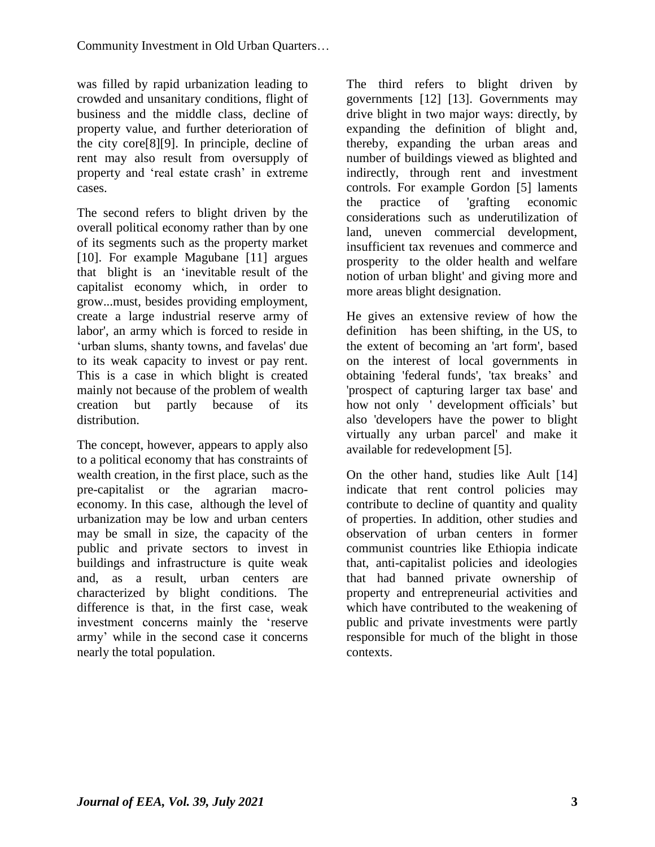was filled by rapid urbanization leading to crowded and unsanitary conditions, flight of business and the middle class, decline of property value, and further deterioration of the city core[8][9]. In principle, decline of rent may also result from oversupply of property and "real estate crash" in extreme cases.

The second refers to blight driven by the overall political economy rather than by one of its segments such as the property market [10]. For example Magubane [11] argues that blight is an "inevitable result of the capitalist economy which, in order to grow...must, besides providing employment, create a large industrial reserve army of labor', an army which is forced to reside in 'urban slums, shanty towns, and favelas' due to its weak capacity to invest or pay rent. This is a case in which blight is created mainly not because of the problem of wealth creation but partly because of its distribution.

The concept, however, appears to apply also to a political economy that has constraints of wealth creation, in the first place, such as the pre-capitalist or the agrarian macroeconomy. In this case, although the level of urbanization may be low and urban centers may be small in size, the capacity of the public and private sectors to invest in buildings and infrastructure is quite weak and, as a result, urban centers are characterized by blight conditions. The difference is that, in the first case, weak investment concerns mainly the "reserve army" while in the second case it concerns nearly the total population.

The third refers to blight driven by governments [12] [13]. Governments may drive blight in two major ways: directly, by expanding the definition of blight and, thereby, expanding the urban areas and number of buildings viewed as blighted and indirectly, through rent and investment controls. For example Gordon [5] laments the practice of 'grafting economic considerations such as underutilization of land, uneven commercial development, insufficient tax revenues and commerce and prosperity to the older health and welfare notion of urban blight' and giving more and more areas blight designation.

He gives an extensive review of how the definition has been shifting, in the US, to the extent of becoming an 'art form', based on the interest of local governments in obtaining 'federal funds', 'tax breaks" and 'prospect of capturing larger tax base' and how not only ' development officials' but also 'developers have the power to blight virtually any urban parcel' and make it available for redevelopment [5].

On the other hand, studies like Ault [14] indicate that rent control policies may contribute to decline of quantity and quality of properties. In addition, other studies and observation of urban centers in former communist countries like Ethiopia indicate that, anti-capitalist policies and ideologies that had banned private ownership of property and entrepreneurial activities and which have contributed to the weakening of public and private investments were partly responsible for much of the blight in those contexts.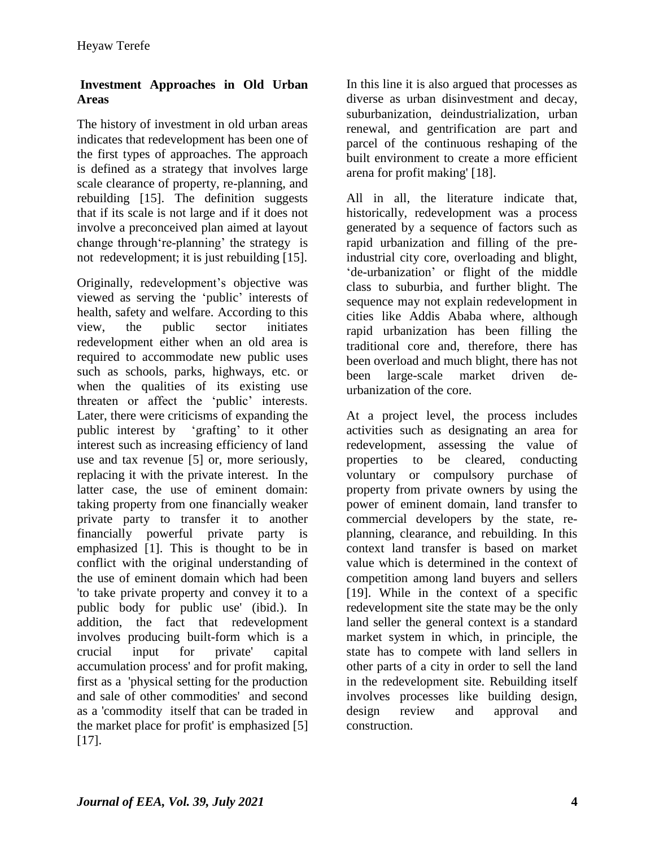## **Investment Approaches in Old Urban Areas**

The history of investment in old urban areas indicates that redevelopment has been one of the first types of approaches. The approach is defined as a strategy that involves large scale clearance of property, re-planning, and rebuilding [15]. The definition suggests that if its scale is not large and if it does not involve a preconceived plan aimed at layout change through 're-planning' the strategy is not redevelopment; it is just rebuilding [15].

Originally, redevelopment"s objective was viewed as serving the "public" interests of health, safety and welfare. According to this view, the public sector initiates redevelopment either when an old area is required to accommodate new public uses such as schools, parks, highways, etc. or when the qualities of its existing use threaten or affect the 'public' interests. Later, there were criticisms of expanding the public interest by "grafting" to it other interest such as increasing efficiency of land use and tax revenue [5] or, more seriously, replacing it with the private interest. In the latter case, the use of eminent domain: taking property from one financially weaker private party to transfer it to another financially powerful private party is emphasized [1]. This is thought to be in conflict with the original understanding of the use of eminent domain which had been 'to take private property and convey it to a public body for public use' (ibid.). In addition, the fact that redevelopment involves producing built-form which is a crucial input for private' capital accumulation process' and for profit making, first as a 'physical setting for the production and sale of other commodities' and second as a 'commodity itself that can be traded in the market place for profit' is emphasized [5] [17].

In this line it is also argued that processes as diverse as urban disinvestment and decay, suburbanization, deindustrialization, urban renewal, and gentrification are part and parcel of the continuous reshaping of the built environment to create a more efficient arena for profit making' [18].

All in all, the literature indicate that, historically, redevelopment was a process generated by a sequence of factors such as rapid urbanization and filling of the preindustrial city core, overloading and blight, "de-urbanization" or flight of the middle class to suburbia, and further blight. The sequence may not explain redevelopment in cities like Addis Ababa where, although rapid urbanization has been filling the traditional core and, therefore, there has been overload and much blight, there has not been large-scale market driven deurbanization of the core.

At a project level, the process includes activities such as designating an area for redevelopment, assessing the value of properties to be cleared, conducting voluntary or compulsory purchase of property from private owners by using the power of eminent domain, land transfer to commercial developers by the state, replanning, clearance, and rebuilding. In this context land transfer is based on market value which is determined in the context of competition among land buyers and sellers [19]. While in the context of a specific redevelopment site the state may be the only land seller the general context is a standard market system in which, in principle, the state has to compete with land sellers in other parts of a city in order to sell the land in the redevelopment site. Rebuilding itself involves processes like building design, design review and approval and construction.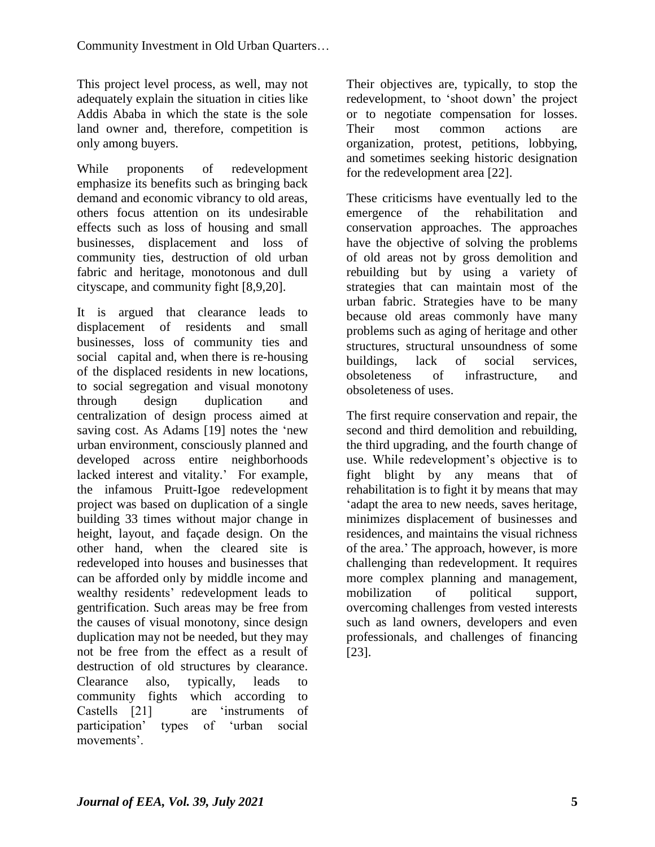This project level process, as well, may not adequately explain the situation in cities like Addis Ababa in which the state is the sole land owner and, therefore, competition is only among buyers.

While proponents of redevelopment emphasize its benefits such as bringing back demand and economic vibrancy to old areas, others focus attention on its undesirable effects such as loss of housing and small businesses, displacement and loss of community ties, destruction of old urban fabric and heritage, monotonous and dull cityscape, and community fight [8,9,20].

It is argued that clearance leads to displacement of residents and small businesses, loss of community ties and social capital and, when there is re-housing of the displaced residents in new locations, to social segregation and visual monotony through design duplication and centralization of design process aimed at saving cost. As Adams [19] notes the "new urban environment, consciously planned and developed across entire neighborhoods lacked interest and vitality.' For example, the infamous Pruitt-Igoe redevelopment project was based on duplication of a single building 33 times without major change in height, layout, and façade design. On the other hand, when the cleared site is redeveloped into houses and businesses that can be afforded only by middle income and wealthy residents' redevelopment leads to gentrification. Such areas may be free from the causes of visual monotony, since design duplication may not be needed, but they may not be free from the effect as a result of destruction of old structures by clearance. Clearance also, typically, leads to community fights which according to Castells [21] are "instruments of participation" types of "urban social movements".

Their objectives are, typically, to stop the redevelopment, to "shoot down" the project or to negotiate compensation for losses. Their most common actions are organization, protest, petitions, lobbying, and sometimes seeking historic designation for the redevelopment area [22].

These criticisms have eventually led to the emergence of the rehabilitation and conservation approaches. The approaches have the objective of solving the problems of old areas not by gross demolition and rebuilding but by using a variety of strategies that can maintain most of the urban fabric. Strategies have to be many because old areas commonly have many problems such as aging of heritage and other structures, structural unsoundness of some buildings, lack of social services, obsoleteness of infrastructure, and obsoleteness of uses.

The first require conservation and repair, the second and third demolition and rebuilding, the third upgrading, and the fourth change of use. While redevelopment's objective is to fight blight by any means that of rehabilitation is to fight it by means that may "adapt the area to new needs, saves heritage, minimizes displacement of businesses and residences, and maintains the visual richness of the area." The approach, however, is more challenging than redevelopment. It requires more complex planning and management, mobilization of political support, overcoming challenges from vested interests such as land owners, developers and even professionals, and challenges of financing [23].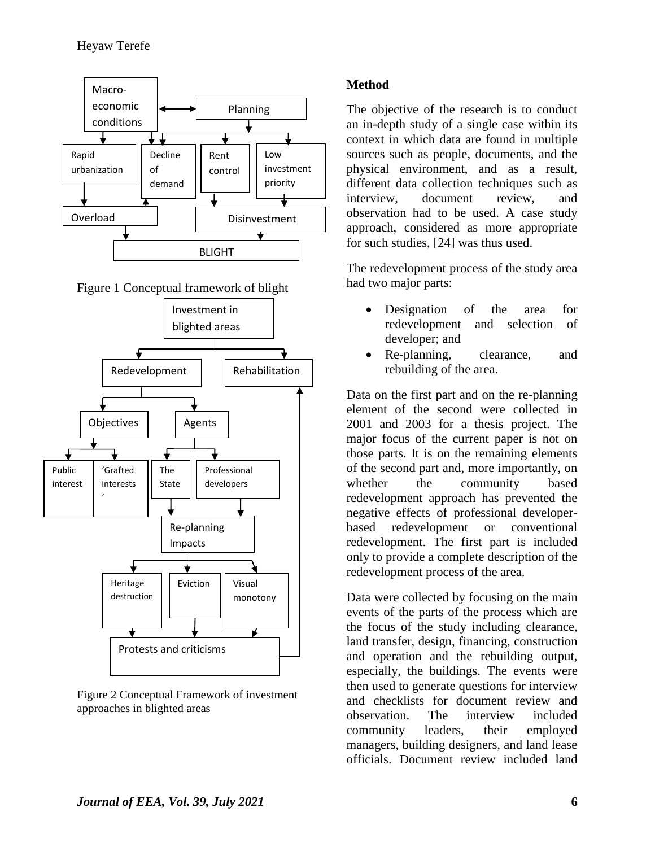

Figure 1 Conceptual framework of blight



Figure 2 Conceptual Framework of investment approaches in blighted areas

## **Method**

The objective of the research is to conduct an in-depth study of a single case within its context in which data are found in multiple sources such as people, documents, and the physical environment, and as a result, different data collection techniques such as interview, document review, and observation had to be used. A case study approach, considered as more appropriate for such studies, [24] was thus used.

The redevelopment process of the study area had two major parts:

- Designation of the area for redevelopment and selection of developer; and
- Re-planning, clearance, and rebuilding of the area.

Data on the first part and on the re-planning element of the second were collected in 2001 and 2003 for a thesis project. The major focus of the current paper is not on those parts. It is on the remaining elements of the second part and, more importantly, on whether the community based redevelopment approach has prevented the negative effects of professional developerbased redevelopment or conventional redevelopment. The first part is included only to provide a complete description of the redevelopment process of the area.

Data were collected by focusing on the main events of the parts of the process which are the focus of the study including clearance, land transfer, design, financing, construction and operation and the rebuilding output, especially, the buildings. The events were then used to generate questions for interview and checklists for document review and observation. The interview included community leaders, their employed managers, building designers, and land lease officials. Document review included land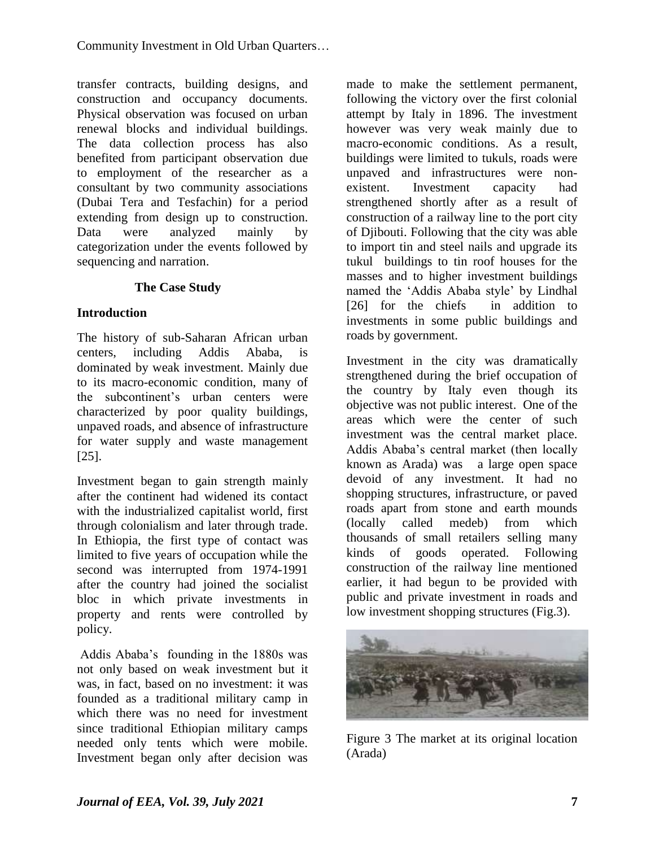transfer contracts, building designs, and construction and occupancy documents. Physical observation was focused on urban renewal blocks and individual buildings. The data collection process has also benefited from participant observation due to employment of the researcher as a consultant by two community associations (Dubai Tera and Tesfachin) for a period extending from design up to construction. Data were analyzed mainly by categorization under the events followed by sequencing and narration.

# **The Case Study**

## **Introduction**

The history of sub-Saharan African urban centers, including Addis Ababa, dominated by weak investment. Mainly due to its macro-economic condition, many of the subcontinent"s urban centers were characterized by poor quality buildings, unpaved roads, and absence of infrastructure for water supply and waste management [25].

Investment began to gain strength mainly after the continent had widened its contact with the industrialized capitalist world, first through colonialism and later through trade. In Ethiopia, the first type of contact was limited to five years of occupation while the second was interrupted from 1974-1991 after the country had joined the socialist bloc in which private investments in property and rents were controlled by policy.

Addis Ababa"s founding in the 1880s was not only based on weak investment but it was, in fact, based on no investment: it was founded as a traditional military camp in which there was no need for investment since traditional Ethiopian military camps needed only tents which were mobile. Investment began only after decision was

made to make the settlement permanent, following the victory over the first colonial attempt by Italy in 1896. The investment however was very weak mainly due to macro-economic conditions. As a result, buildings were limited to tukuls, roads were unpaved and infrastructures were nonexistent. Investment capacity had strengthened shortly after as a result of construction of a railway line to the port city of Djibouti. Following that the city was able to import tin and steel nails and upgrade its tukul buildings to tin roof houses for the masses and to higher investment buildings named the "Addis Ababa style" by Lindhal [26] for the chiefs in addition to investments in some public buildings and roads by government.

Investment in the city was dramatically strengthened during the brief occupation of the country by Italy even though its objective was not public interest. One of the areas which were the center of such investment was the central market place. Addis Ababa"s central market (then locally known as Arada) was a large open space devoid of any investment. It had no shopping structures, infrastructure, or paved roads apart from stone and earth mounds (locally called medeb) from which thousands of small retailers selling many kinds of goods operated. Following construction of the railway line mentioned earlier, it had begun to be provided with public and private investment in roads and low investment shopping structures (Fig.3).



Figure 3 The market at its original location (Arada)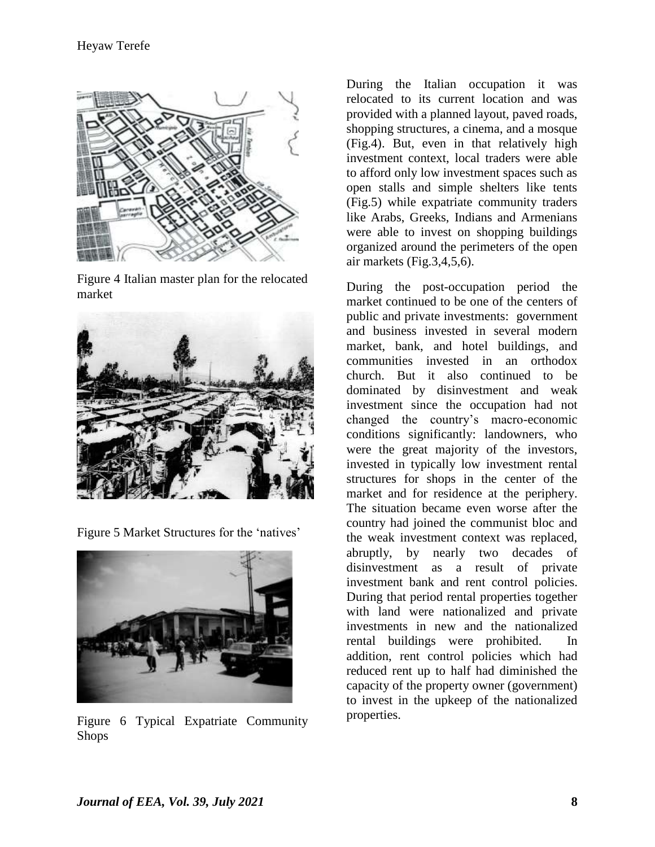

Figure 4 Italian master plan for the relocated market



Figure 5 Market Structures for the 'natives'



Figure 6 Typical Expatriate Community Shops

During the Italian occupation it was relocated to its current location and was provided with a planned layout, paved roads, shopping structures, a cinema, and a mosque (Fig.4). But, even in that relatively high investment context, local traders were able to afford only low investment spaces such as open stalls and simple shelters like tents (Fig.5) while expatriate community traders like Arabs, Greeks, Indians and Armenians were able to invest on shopping buildings organized around the perimeters of the open air markets (Fig.3,4,5,6).

During the post-occupation period the market continued to be one of the centers of public and private investments: government and business invested in several modern market, bank, and hotel buildings, and communities invested in an orthodox church. But it also continued to be dominated by disinvestment and weak investment since the occupation had not changed the country"s macro-economic conditions significantly: landowners, who were the great majority of the investors, invested in typically low investment rental structures for shops in the center of the market and for residence at the periphery. The situation became even worse after the country had joined the communist bloc and the weak investment context was replaced, abruptly, by nearly two decades of disinvestment as a result of private investment bank and rent control policies. During that period rental properties together with land were nationalized and private investments in new and the nationalized rental buildings were prohibited. In addition, rent control policies which had reduced rent up to half had diminished the capacity of the property owner (government) to invest in the upkeep of the nationalized properties.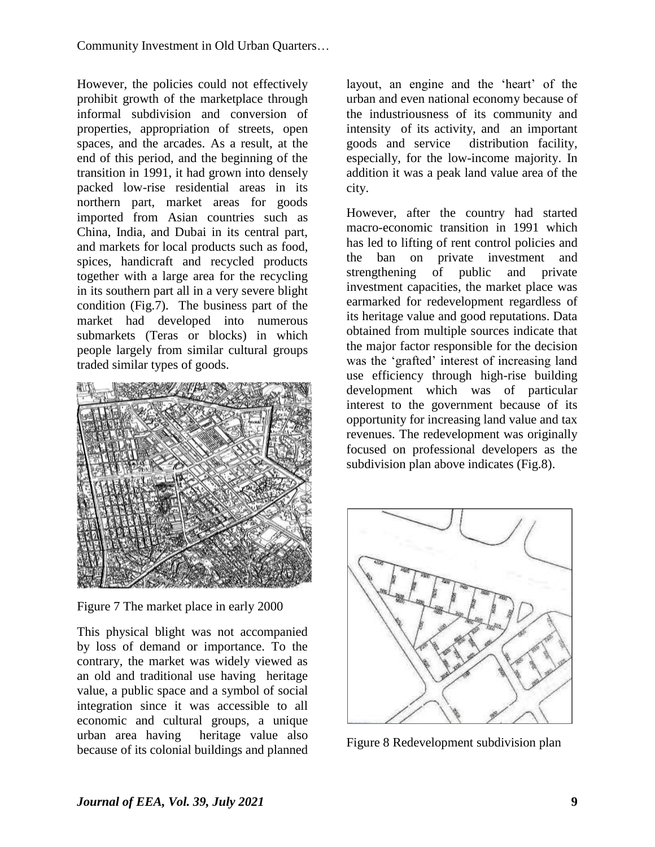However, the policies could not effectively prohibit growth of the marketplace through informal subdivision and conversion of properties, appropriation of streets, open spaces, and the arcades. As a result, at the end of this period, and the beginning of the transition in 1991, it had grown into densely packed low-rise residential areas in its northern part, market areas for goods imported from Asian countries such as China, India, and Dubai in its central part, and markets for local products such as food, spices, handicraft and recycled products together with a large area for the recycling in its southern part all in a very severe blight condition (Fig.7). The business part of the market had developed into numerous submarkets (Teras or blocks) in which people largely from similar cultural groups traded similar types of goods.



Figure 7 The market place in early 2000

This physical blight was not accompanied by loss of demand or importance. To the contrary, the market was widely viewed as an old and traditional use having heritage value, a public space and a symbol of social integration since it was accessible to all economic and cultural groups, a unique urban area having heritage value also because of its colonial buildings and planned

layout, an engine and the 'heart' of the urban and even national economy because of the industriousness of its community and intensity of its activity, and an important goods and service distribution facility, especially, for the low-income majority. In addition it was a peak land value area of the city.

However, after the country had started macro-economic transition in 1991 which has led to lifting of rent control policies and the ban on private investment and strengthening of public and private investment capacities, the market place was earmarked for redevelopment regardless of its heritage value and good reputations. Data obtained from multiple sources indicate that the major factor responsible for the decision was the 'grafted' interest of increasing land use efficiency through high-rise building development which was of particular interest to the government because of its opportunity for increasing land value and tax revenues. The redevelopment was originally focused on professional developers as the subdivision plan above indicates (Fig.8).



Figure 8 Redevelopment subdivision plan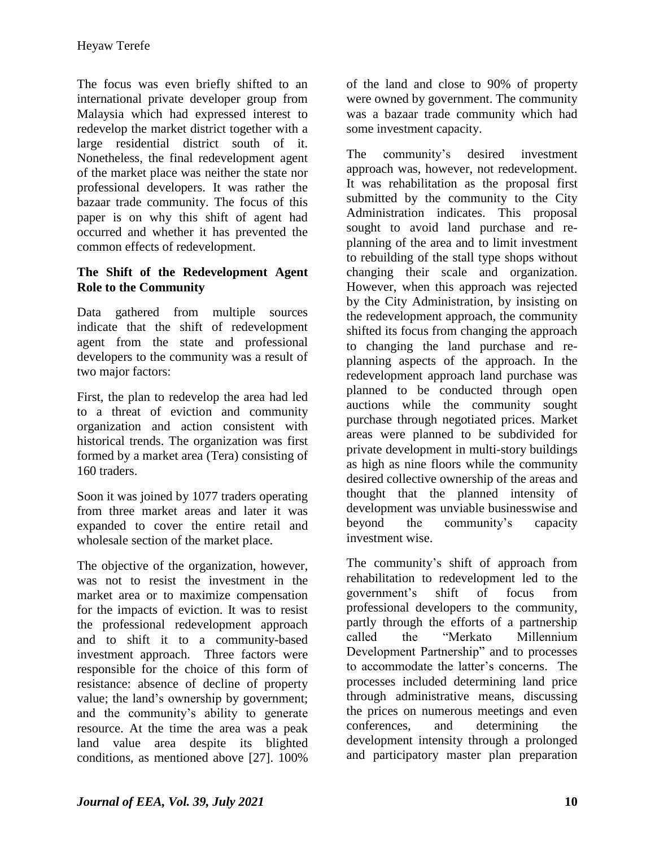The focus was even briefly shifted to an international private developer group from Malaysia which had expressed interest to redevelop the market district together with a large residential district south of it. Nonetheless, the final redevelopment agent of the market place was neither the state nor professional developers. It was rather the bazaar trade community. The focus of this paper is on why this shift of agent had occurred and whether it has prevented the common effects of redevelopment.

## **The Shift of the Redevelopment Agent Role to the Community**

Data gathered from multiple sources indicate that the shift of redevelopment agent from the state and professional developers to the community was a result of two major factors:

First, the plan to redevelop the area had led to a threat of eviction and community organization and action consistent with historical trends. The organization was first formed by a market area (Tera) consisting of 160 traders.

Soon it was joined by 1077 traders operating from three market areas and later it was expanded to cover the entire retail and wholesale section of the market place.

The objective of the organization, however, was not to resist the investment in the market area or to maximize compensation for the impacts of eviction. It was to resist the professional redevelopment approach and to shift it to a community-based investment approach. Three factors were responsible for the choice of this form of resistance: absence of decline of property value; the land"s ownership by government; and the community"s ability to generate resource. At the time the area was a peak land value area despite its blighted conditions, as mentioned above [27]. 100%

of the land and close to 90% of property were owned by government. The community was a bazaar trade community which had some investment capacity.

The community's desired investment approach was, however, not redevelopment. It was rehabilitation as the proposal first submitted by the community to the City Administration indicates. This proposal sought to avoid land purchase and replanning of the area and to limit investment to rebuilding of the stall type shops without changing their scale and organization. However, when this approach was rejected by the City Administration, by insisting on the redevelopment approach, the community shifted its focus from changing the approach to changing the land purchase and replanning aspects of the approach. In the redevelopment approach land purchase was planned to be conducted through open auctions while the community sought purchase through negotiated prices. Market areas were planned to be subdivided for private development in multi-story buildings as high as nine floors while the community desired collective ownership of the areas and thought that the planned intensity of development was unviable businesswise and beyond the community"s capacity investment wise.

The community's shift of approach from rehabilitation to redevelopment led to the government"s shift of focus from professional developers to the community, partly through the efforts of a partnership called the "Merkato Millennium Development Partnership" and to processes to accommodate the latter"s concerns. The processes included determining land price through administrative means, discussing the prices on numerous meetings and even conferences, and determining the development intensity through a prolonged and participatory master plan preparation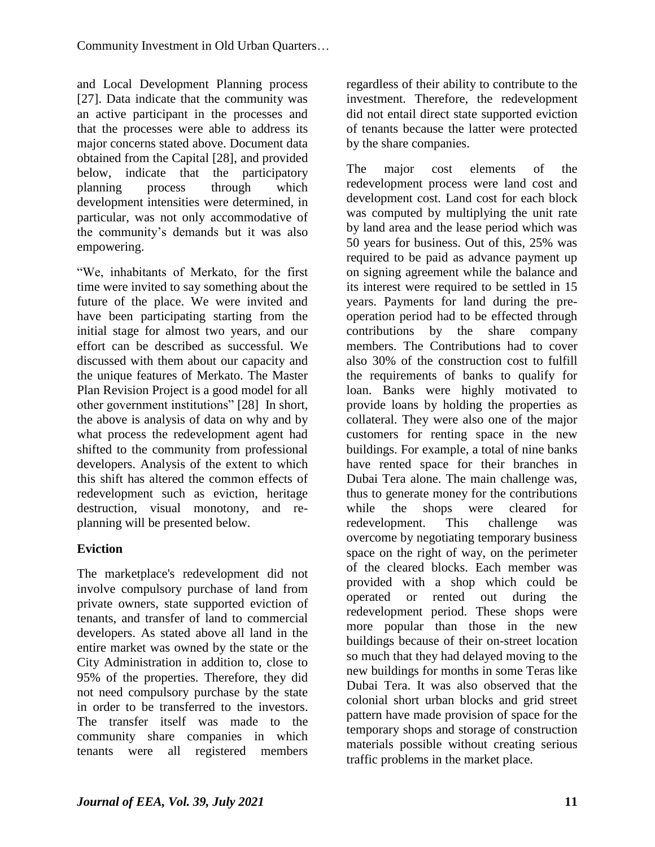and Local Development Planning process [27]. Data indicate that the community was an active participant in the processes and that the processes were able to address its major concerns stated above. Document data obtained from the Capital [28], and provided below, indicate that the participatory planning process through which development intensities were determined, in particular, was not only accommodative of the community"s demands but it was also empowering.

"We, inhabitants of Merkato, for the first time were invited to say something about the future of the place. We were invited and have been participating starting from the initial stage for almost two years, and our effort can be described as successful. We discussed with them about our capacity and the unique features of Merkato. The Master Plan Revision Project is a good model for all other government institutions" [28] In short, the above is analysis of data on why and by what process the redevelopment agent had shifted to the community from professional developers. Analysis of the extent to which this shift has altered the common effects of redevelopment such as eviction, heritage destruction, visual monotony, and replanning will be presented below.

# **Eviction**

The marketplace's redevelopment did not involve compulsory purchase of land from private owners, state supported eviction of tenants, and transfer of land to commercial developers. As stated above all land in the entire market was owned by the state or the City Administration in addition to, close to 95% of the properties. Therefore, they did not need compulsory purchase by the state in order to be transferred to the investors. The transfer itself was made to the community share companies in which tenants were all registered members

regardless of their ability to contribute to the investment. Therefore, the redevelopment did not entail direct state supported eviction of tenants because the latter were protected by the share companies.

The major cost elements of the redevelopment process were land cost and development cost. Land cost for each block was computed by multiplying the unit rate by land area and the lease period which was 50 years for business. Out of this, 25% was required to be paid as advance payment up on signing agreement while the balance and its interest were required to be settled in 15 years. Payments for land during the preoperation period had to be effected through contributions by the share company members. The Contributions had to cover also 30% of the construction cost to fulfill the requirements of banks to qualify for loan. Banks were highly motivated to provide loans by holding the properties as collateral. They were also one of the major customers for renting space in the new buildings. For example, a total of nine banks have rented space for their branches in Dubai Tera alone. The main challenge was, thus to generate money for the contributions while the shops were cleared for redevelopment. This challenge was overcome by negotiating temporary business space on the right of way, on the perimeter of the cleared blocks. Each member was provided with a shop which could be operated or rented out during the redevelopment period. These shops were more popular than those in the new buildings because of their on-street location so much that they had delayed moving to the new buildings for months in some Teras like Dubai Tera. It was also observed that the colonial short urban blocks and grid street pattern have made provision of space for the temporary shops and storage of construction materials possible without creating serious traffic problems in the market place.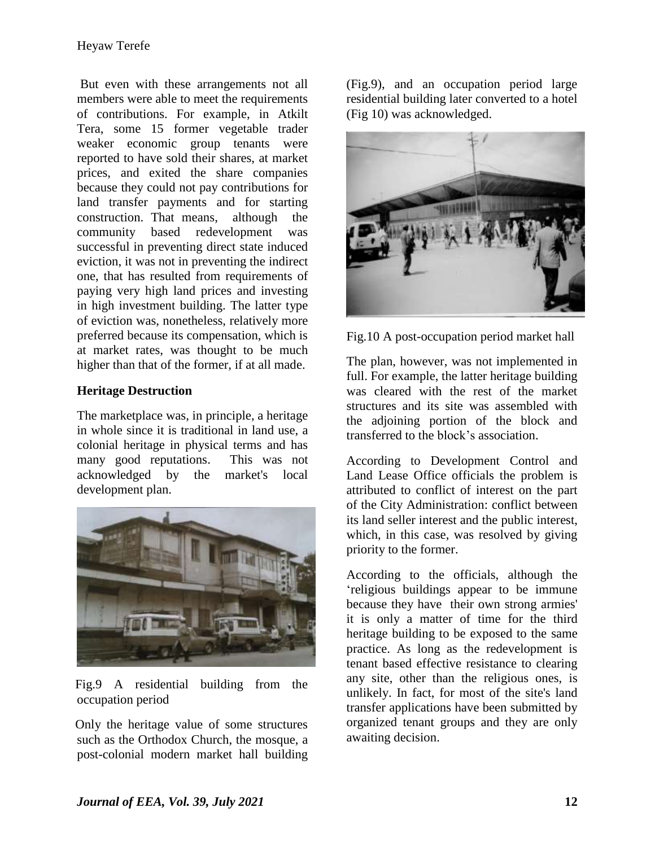But even with these arrangements not all members were able to meet the requirements of contributions. For example, in Atkilt Tera, some 15 former vegetable trader weaker economic group tenants were reported to have sold their shares, at market prices, and exited the share companies because they could not pay contributions for land transfer payments and for starting construction. That means, although the community based redevelopment was successful in preventing direct state induced eviction, it was not in preventing the indirect one, that has resulted from requirements of paying very high land prices and investing in high investment building. The latter type of eviction was, nonetheless, relatively more preferred because its compensation, which is at market rates, was thought to be much higher than that of the former, if at all made.

## **Heritage Destruction**

The marketplace was, in principle, a heritage in whole since it is traditional in land use, a colonial heritage in physical terms and has many good reputations. This was not acknowledged by the market's local development plan.



Fig.9 A residential building from the occupation period

Only the heritage value of some structures such as the Orthodox Church, the mosque, a post-colonial modern market hall building

(Fig.9), and an occupation period large residential building later converted to a hotel (Fig 10) was acknowledged.



Fig.10 A post-occupation period market hall

The plan, however, was not implemented in full. For example, the latter heritage building was cleared with the rest of the market structures and its site was assembled with the adjoining portion of the block and transferred to the block"s association.

According to Development Control and Land Lease Office officials the problem is attributed to conflict of interest on the part of the City Administration: conflict between its land seller interest and the public interest, which, in this case, was resolved by giving priority to the former.

According to the officials, although the "religious buildings appear to be immune because they have their own strong armies' it is only a matter of time for the third heritage building to be exposed to the same practice. As long as the redevelopment is tenant based effective resistance to clearing any site, other than the religious ones, is unlikely. In fact, for most of the site's land transfer applications have been submitted by organized tenant groups and they are only awaiting decision.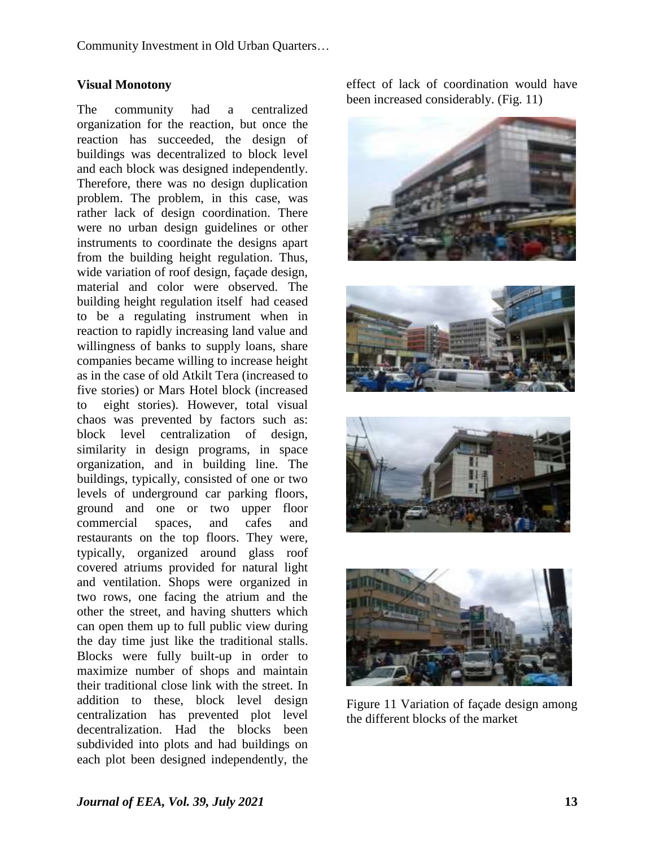Community Investment in Old Urban Quarters…

#### **Visual Monotony**

The community had a centralized organization for the reaction, but once the reaction has succeeded, the design of buildings was decentralized to block level and each block was designed independently. Therefore, there was no design duplication problem. The problem, in this case, was rather lack of design coordination. There were no urban design guidelines or other instruments to coordinate the designs apart from the building height regulation. Thus, wide variation of roof design, façade design, material and color were observed. The building height regulation itself had ceased to be a regulating instrument when in reaction to rapidly increasing land value and willingness of banks to supply loans, share companies became willing to increase height as in the case of old Atkilt Tera (increased to five stories) or Mars Hotel block (increased to eight stories). However, total visual chaos was prevented by factors such as: block level centralization of design, similarity in design programs, in space organization, and in building line. The buildings, typically, consisted of one or two levels of underground car parking floors, ground and one or two upper floor commercial spaces, and cafes and restaurants on the top floors. They were, typically, organized around glass roof covered atriums provided for natural light and ventilation. Shops were organized in two rows, one facing the atrium and the other the street, and having shutters which can open them up to full public view during the day time just like the traditional stalls. Blocks were fully built-up in order to maximize number of shops and maintain their traditional close link with the street. In addition to these, block level design centralization has prevented plot level decentralization. Had the blocks been subdivided into plots and had buildings on each plot been designed independently, the

effect of lack of coordination would have been increased considerably. (Fig. 11)



Figure 11 Variation of façade design among the different blocks of the market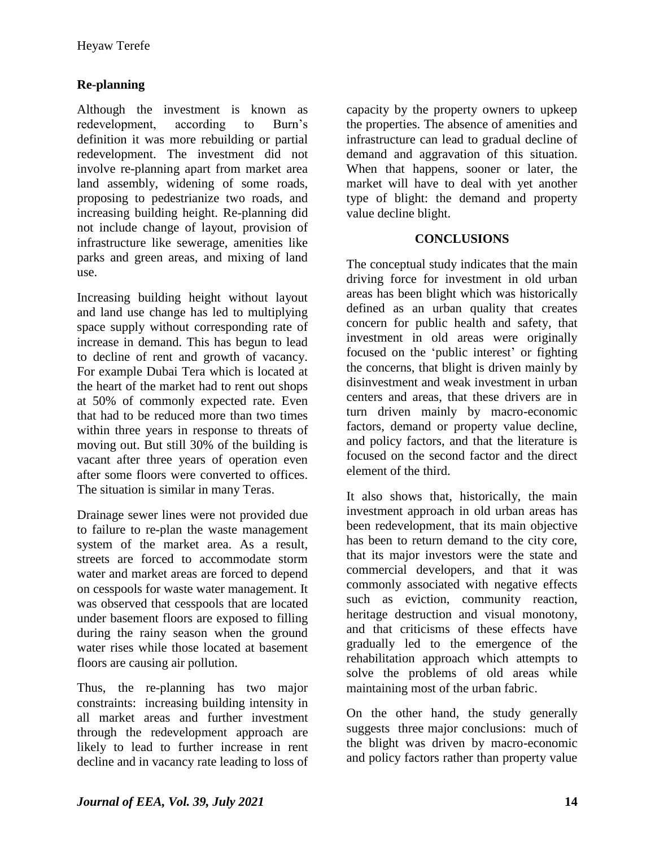# **Re-planning**

Although the investment is known as redevelopment, according to Burn"s definition it was more rebuilding or partial redevelopment. The investment did not involve re-planning apart from market area land assembly, widening of some roads, proposing to pedestrianize two roads, and increasing building height. Re-planning did not include change of layout, provision of infrastructure like sewerage, amenities like parks and green areas, and mixing of land use.

Increasing building height without layout and land use change has led to multiplying space supply without corresponding rate of increase in demand. This has begun to lead to decline of rent and growth of vacancy. For example Dubai Tera which is located at the heart of the market had to rent out shops at 50% of commonly expected rate. Even that had to be reduced more than two times within three years in response to threats of moving out. But still 30% of the building is vacant after three years of operation even after some floors were converted to offices. The situation is similar in many Teras.

Drainage sewer lines were not provided due to failure to re-plan the waste management system of the market area. As a result, streets are forced to accommodate storm water and market areas are forced to depend on cesspools for waste water management. It was observed that cesspools that are located under basement floors are exposed to filling during the rainy season when the ground water rises while those located at basement floors are causing air pollution.

Thus, the re-planning has two major constraints: increasing building intensity in all market areas and further investment through the redevelopment approach are likely to lead to further increase in rent decline and in vacancy rate leading to loss of

capacity by the property owners to upkeep the properties. The absence of amenities and infrastructure can lead to gradual decline of demand and aggravation of this situation. When that happens, sooner or later, the market will have to deal with yet another type of blight: the demand and property value decline blight.

## **CONCLUSIONS**

The conceptual study indicates that the main driving force for investment in old urban areas has been blight which was historically defined as an urban quality that creates concern for public health and safety, that investment in old areas were originally focused on the 'public interest' or fighting the concerns, that blight is driven mainly by disinvestment and weak investment in urban centers and areas, that these drivers are in turn driven mainly by macro-economic factors, demand or property value decline, and policy factors, and that the literature is focused on the second factor and the direct element of the third.

It also shows that, historically, the main investment approach in old urban areas has been redevelopment, that its main objective has been to return demand to the city core, that its major investors were the state and commercial developers, and that it was commonly associated with negative effects such as eviction, community reaction, heritage destruction and visual monotony, and that criticisms of these effects have gradually led to the emergence of the rehabilitation approach which attempts to solve the problems of old areas while maintaining most of the urban fabric.

On the other hand, the study generally suggests three major conclusions: much of the blight was driven by macro-economic and policy factors rather than property value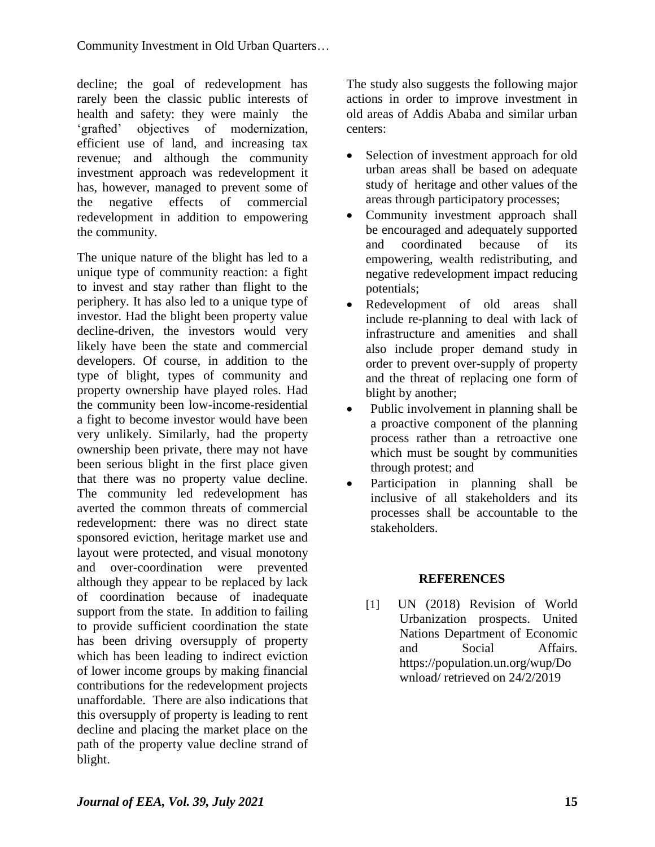decline; the goal of redevelopment has rarely been the classic public interests of health and safety: they were mainly the 'grafted' objectives of modernization, efficient use of land, and increasing tax revenue; and although the community investment approach was redevelopment it has, however, managed to prevent some of the negative effects of commercial redevelopment in addition to empowering the community.

The unique nature of the blight has led to a unique type of community reaction: a fight to invest and stay rather than flight to the periphery. It has also led to a unique type of investor. Had the blight been property value decline-driven, the investors would very likely have been the state and commercial developers. Of course, in addition to the type of blight, types of community and property ownership have played roles. Had the community been low-income-residential a fight to become investor would have been very unlikely. Similarly, had the property ownership been private, there may not have been serious blight in the first place given that there was no property value decline. The community led redevelopment has averted the common threats of commercial redevelopment: there was no direct state sponsored eviction, heritage market use and layout were protected, and visual monotony and over-coordination were prevented although they appear to be replaced by lack of coordination because of inadequate support from the state. In addition to failing to provide sufficient coordination the state has been driving oversupply of property which has been leading to indirect eviction of lower income groups by making financial contributions for the redevelopment projects unaffordable. There are also indications that this oversupply of property is leading to rent decline and placing the market place on the path of the property value decline strand of blight.

The study also suggests the following major actions in order to improve investment in old areas of Addis Ababa and similar urban centers:

- Selection of investment approach for old urban areas shall be based on adequate study of heritage and other values of the areas through participatory processes;
- Community investment approach shall be encouraged and adequately supported and coordinated because of its empowering, wealth redistributing, and negative redevelopment impact reducing potentials;
- Redevelopment of old areas shall include re-planning to deal with lack of infrastructure and amenities and shall also include proper demand study in order to prevent over-supply of property and the threat of replacing one form of blight by another:
- Public involvement in planning shall be a proactive component of the planning process rather than a retroactive one which must be sought by communities through protest; and
- Participation in planning shall be inclusive of all stakeholders and its processes shall be accountable to the stakeholders.

## **REFERENCES**

[1] UN (2018) Revision of World Urbanization prospects. United Nations Department of Economic and Social Affairs. [https://population.un.org/wup/Do](https://population.un.org/wup/Download/) [wnload/](https://population.un.org/wup/Download/) retrieved on 24/2/2019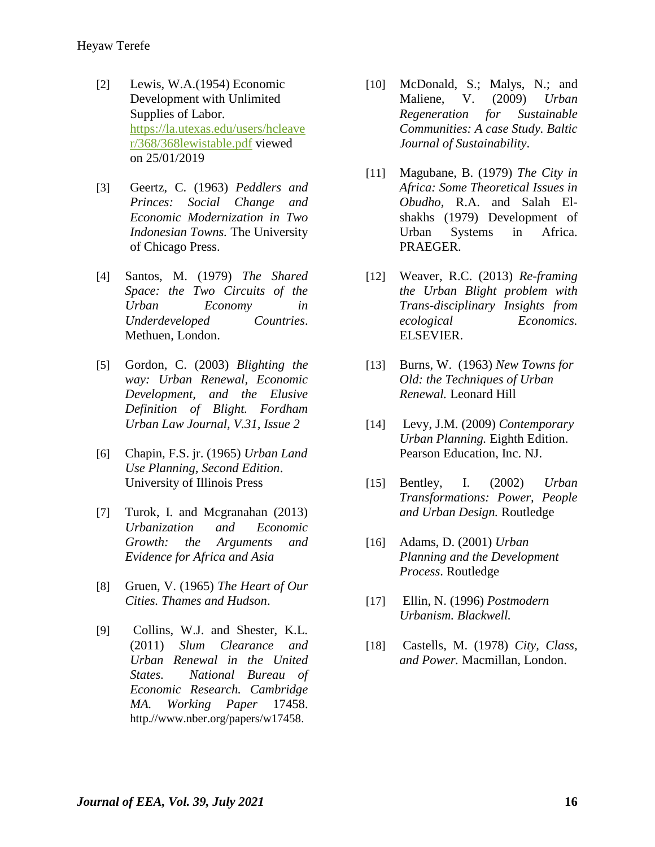- [2] Lewis, W.A.(1954) Economic Development with Unlimited Supplies of Labor. [https://la.utexas.edu/users/hcleave](https://la.utexas.edu/users/hcleaver/368/368lewistable.pdf) [r/368/368lewistable.pdf](https://la.utexas.edu/users/hcleaver/368/368lewistable.pdf) viewed on 25/01/2019
- [3] Geertz, C. (1963) *Peddlers and Princes: Social Change and Economic Modernization in Two Indonesian Towns.* The University of Chicago Press.
- [4] Santos, M. (1979) *The Shared Space: the Two Circuits of the Urban Economy in Underdeveloped Countries*. Methuen, London.
- [5] Gordon, C. (2003) *Blighting the way: Urban Renewal, Economic Development, and the Elusive Definition of Blight. Fordham Urban Law Journal, V.31, Issue 2*
- [6] Chapin, F.S. jr. (1965) *Urban Land Use Planning, Second Edition*. University of Illinois Press
- [7] Turok, I. and Mcgranahan (2013) *Urbanization and Economic Growth: the Arguments and Evidence for Africa and Asia*
- [8] Gruen, V. (1965) *The Heart of Our Cities. Thames and Hudson*.
- [9] Collins, W.J. and Shester, K.L. (2011) *Slum Clearance and Urban Renewal in the United States. National Bureau of Economic Research. Cambridge MA. Working Paper* 17458. http.//www.nber.org/papers/w17458.
- [10] McDonald, S.; Malys, N.; and Maliene, V. (2009) *Urban Regeneration for Sustainable Communities: A case Study. Baltic Journal of Sustainability*.
- [11] Magubane, B. (1979) *The City in Africa: Some Theoretical Issues in Obudho,* R.A. and Salah Elshakhs (1979) Development of Urban Systems in Africa. PRAEGER.
- [12] Weaver, R.C. (2013) *Re-framing the Urban Blight problem with Trans-disciplinary Insights from ecological Economics.*  ELSEVIER.
- [13] Burns, W. (1963) *New Towns for Old: the Techniques of Urban Renewal.* Leonard Hill
- [14] Levy, J.M. (2009) *Contemporary Urban Planning.* Eighth Edition. Pearson Education, Inc. NJ.
- [15] Bentley, I. (2002) *Urban Transformations: Power, People and Urban Design.* Routledge
- [16] Adams, D. (2001) *Urban Planning and the Development Process*. Routledge
- [17] Ellin, N. (1996) *Postmodern Urbanism. Blackwell.*
- [18] Castells, M. (1978) *City, Class, and Power.* Macmillan, London.